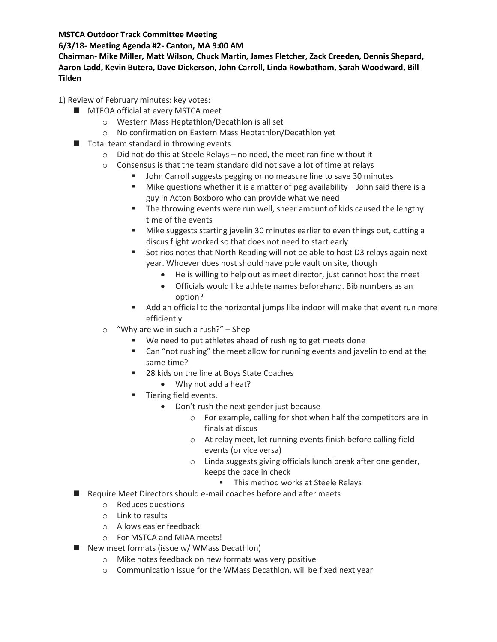**MSTCA Outdoor Track Committee Meeting**

## **6/3/18- Meeting Agenda #2- Canton, MA 9:00 AM**

**Chairman- Mike Miller, Matt Wilson, Chuck Martin, James Fletcher, Zack Creeden, Dennis Shepard, Aaron Ladd, Kevin Butera, Dave Dickerson, John Carroll, Linda Rowbatham, Sarah Woodward, Bill Tilden**

1) Review of February minutes: key votes:

- **MTFOA official at every MSTCA meet** 
	- o Western Mass Heptathlon/Decathlon is all set
	- o No confirmation on Eastern Mass Heptathlon/Decathlon yet
- $\blacksquare$  Total team standard in throwing events
	- o Did not do this at Steele Relays no need, the meet ran fine without it
	- o Consensus is that the team standard did not save a lot of time at relays
		- **DED John Carroll suggests pegging or no measure line to save 30 minutes**
		- **Mike questions whether it is a matter of peg availability John said there is a** guy in Acton Boxboro who can provide what we need
		- **The throwing events were run well, sheer amount of kids caused the lengthy** time of the events
		- Mike suggests starting javelin 30 minutes earlier to even things out, cutting a discus flight worked so that does not need to start early
		- Sotirios notes that North Reading will not be able to host D3 relays again next year. Whoever does host should have pole vault on site, though
			- He is willing to help out as meet director, just cannot host the meet
			- Officials would like athlete names beforehand. Bib numbers as an option?
		- Add an official to the horizontal jumps like indoor will make that event run more efficiently
	- o "Why are we in such a rush?" Shep
		- We need to put athletes ahead of rushing to get meets done
		- Can "not rushing" the meet allow for running events and javelin to end at the same time?
		- 28 kids on the line at Boys State Coaches
			- Why not add a heat?
		- **Tiering field events.** 
			- Don't rush the next gender just because
				- o For example, calling for shot when half the competitors are in finals at discus
				- o At relay meet, let running events finish before calling field events (or vice versa)
				- o Linda suggests giving officials lunch break after one gender, keeps the pace in check
					- **This method works at Steele Relays**
- Require Meet Directors should e-mail coaches before and after meets
	- o Reduces questions
	- o Link to results
	- o Allows easier feedback
	- o For MSTCA and MIAA meets!
- New meet formats (issue w/ WMass Decathlon)
	- o Mike notes feedback on new formats was very positive
	- o Communication issue for the WMass Decathlon, will be fixed next year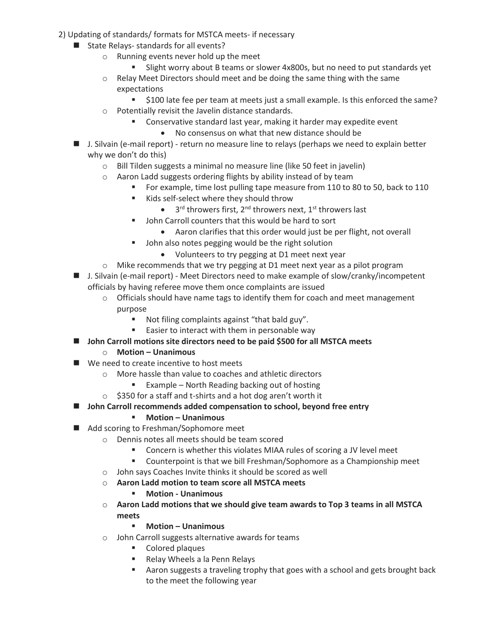- 2) Updating of standards/ formats for MSTCA meets- if necessary
	- State Relays- standards for all events?
		- o Running events never hold up the meet
			- Slight worry about B teams or slower 4x800s, but no need to put standards yet
		- o Relay Meet Directors should meet and be doing the same thing with the same expectations
			- \$100 late fee per team at meets just a small example. Is this enforced the same?
		- o Potentially revisit the Javelin distance standards.
			- Conservative standard last year, making it harder may expedite event
				- No consensus on what that new distance should be
	- **I.** J. Silvain (e-mail report) return no measure line to relays (perhaps we need to explain better why we don't do this)
		- o Bill Tilden suggests a minimal no measure line (like 50 feet in javelin)
		- o Aaron Ladd suggests ordering flights by ability instead of by team
			- For example, time lost pulling tape measure from 110 to 80 to 50, back to 110
			- Kids self-select where they should throw
				- $\bullet$  3<sup>rd</sup> throwers first, 2<sup>nd</sup> throwers next, 1<sup>st</sup> throwers last
			- John Carroll counters that this would be hard to sort
				- Aaron clarifies that this order would just be per flight, not overall
			- **John also notes pegging would be the right solution** 
				- Volunteers to try pegging at D1 meet next year
		- o Mike recommends that we try pegging at D1 meet next year as a pilot program
	- J. Silvain (e-mail report) Meet Directors need to make example of slow/cranky/incompetent officials by having referee move them once complaints are issued
		- $\circ$  Officials should have name tags to identify them for coach and meet management purpose
			- Not filing complaints against "that bald guy".
			- **Easier to interact with them in personable way**
	- John Carroll motions site directors need to be paid \$500 for all MSTCA meets
		- o **Motion – Unanimous**
	- We need to create incentive to host meets
		- o More hassle than value to coaches and athletic directors
			- Example North Reading backing out of hosting
		- o \$350 for a staff and t-shirts and a hot dog aren't worth it
	- John Carroll recommends added compensation to school, beyond free entry
		- **Motion – Unanimous**
	- Add scoring to Freshman/Sophomore meet
		- o Dennis notes all meets should be team scored
			- **EXECONCERN IS WE UP THE VIOLUTE IS VIOLATED AT A CONCERNATION IN A CONCERNATION CONCERNATION**
			- Counterpoint is that we bill Freshman/Sophomore as a Championship meet
		- o John says Coaches Invite thinks it should be scored as well
		- o **Aaron Ladd motion to team score all MSTCA meets**
			- **Motion - Unanimous**
		- o **Aaron Ladd motions that we should give team awards to Top 3 teams in all MSTCA meets**
			- **Motion – Unanimous**
		- o John Carroll suggests alternative awards for teams
			- Colored plaques
			- Relay Wheels a la Penn Relays
			- Aaron suggests a traveling trophy that goes with a school and gets brought back to the meet the following year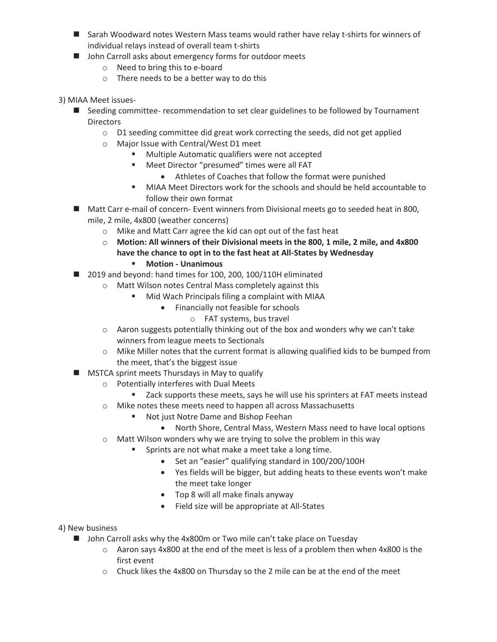- Sarah Woodward notes Western Mass teams would rather have relay t-shirts for winners of individual relays instead of overall team t-shirts
- John Carroll asks about emergency forms for outdoor meets
	- o Need to bring this to e-board
	- o There needs to be a better way to do this
- 3) MIAA Meet issues-
	- Seeding committee- recommendation to set clear guidelines to be followed by Tournament **Directors** 
		- o D1 seeding committee did great work correcting the seeds, did not get applied
			- o Major Issue with Central/West D1 meet
				- **Multiple Automatic qualifiers were not accepted**
				- Meet Director "presumed" times were all FAT
					- Athletes of Coaches that follow the format were punished
				- MIAA Meet Directors work for the schools and should be held accountable to follow their own format
	- Matt Carr e-mail of concern- Event winners from Divisional meets go to seeded heat in 800, mile, 2 mile, 4x800 (weather concerns)
		- o Mike and Matt Carr agree the kid can opt out of the fast heat
		- o **Motion: All winners of their Divisional meets in the 800, 1 mile, 2 mile, and 4x800 have the chance to opt in to the fast heat at All-States by Wednesday**
			- **Motion - Unanimous**
	- 2019 and beyond: hand times for 100, 200, 100/110H eliminated
		- o Matt Wilson notes Central Mass completely against this
			- **Mid Wach Principals filing a complaint with MIAA** 
				- Financially not feasible for schools
					- o FAT systems, bus travel
		- $\circ$  Aaron suggests potentially thinking out of the box and wonders why we can't take winners from league meets to Sectionals
		- $\circ$  Mike Miller notes that the current format is allowing qualified kids to be bumped from the meet, that's the biggest issue
	- **MSTCA sprint meets Thursdays in May to qualify** 
		- o Potentially interferes with Dual Meets
			- **EXEC** Zack supports these meets, says he will use his sprinters at FAT meets instead
		- o Mike notes these meets need to happen all across Massachusetts
			- Not just Notre Dame and Bishop Feehan
				- North Shore, Central Mass, Western Mass need to have local options
		- o Matt Wilson wonders why we are trying to solve the problem in this way
			- Sprints are not what make a meet take a long time.
				- Set an "easier" qualifying standard in 100/200/100H
				- Yes fields will be bigger, but adding heats to these events won't make the meet take longer
				- Top 8 will all make finals anyway
				- Field size will be appropriate at All-States
- 4) New business
	- John Carroll asks why the 4x800m or Two mile can't take place on Tuesday
		- $\circ$  Aaron says 4x800 at the end of the meet is less of a problem then when 4x800 is the first event
		- $\circ$  Chuck likes the 4x800 on Thursday so the 2 mile can be at the end of the meet